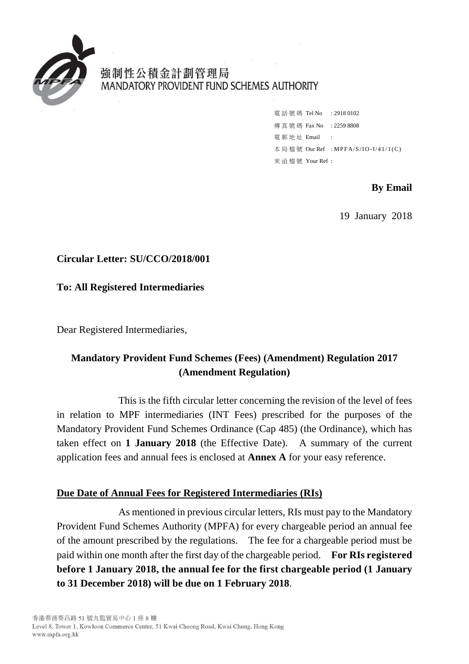

強制性公積金計劃管理局 MANDATORY PROVIDENT FUND SCHEMES AUTHORITY

> 電話號碼 Tel No : 2918 0102 傳真號碼 Fax No : 2259 8808 電 郵 地 址 Email : 本局檔號 Our Ref : MPFA/S/IO-I/41/1(C) 來 函 檔 號 Your Ref :

> > **By Email**

19 January 2018

## **Circular Letter: SU/CCO/2018/001**

**To: All Registered Intermediaries**

Dear Registered Intermediaries,

# **Mandatory Provident Fund Schemes (Fees) (Amendment) Regulation 2017 (Amendment Regulation)**

This is the fifth circular letter concerning the revision of the level of fees in relation to MPF intermediaries (INT Fees) prescribed for the purposes of the Mandatory Provident Fund Schemes Ordinance (Cap 485) (the Ordinance), which has taken effect on **1 January 2018** (the Effective Date). A summary of the current application fees and annual fees is enclosed at **Annex A** for your easy reference.

## **Due Date of Annual Fees for Registered Intermediaries (RIs)**

As mentioned in previous circular letters, RIs must pay to the Mandatory Provident Fund Schemes Authority (MPFA) for every chargeable period an annual fee of the amount prescribed by the regulations. The fee for a chargeable period must be paid within one month after the first day of the chargeable period. **For RIs registered before 1 January 2018, the annual fee for the first chargeable period (1 January to 31 December 2018) will be due on 1 February 2018**.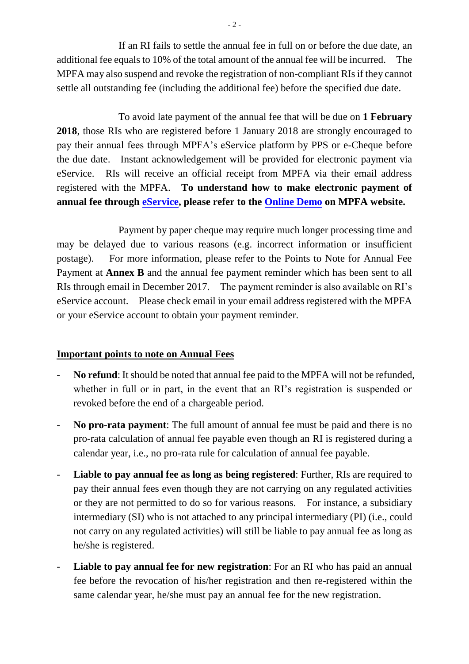If an RI fails to settle the annual fee in full on or before the due date, an additional fee equals to 10% of the total amount of the annual fee will be incurred. The MPFA may also suspend and revoke the registration of non-compliant RIs if they cannot settle all outstanding fee (including the additional fee) before the specified due date.

To avoid late payment of the annual fee that will be due on **1 February 2018**, those RIs who are registered before 1 January 2018 are strongly encouraged to pay their annual fees through MPFA's eService platform by PPS or e-Cheque before the due date. Instant acknowledgement will be provided for electronic payment via eService. RIs will receive an official receipt from MPFA via their email address registered with the MPFA. **To understand how to make electronic payment of annual fee through [eService,](http://www.mpfa.org.hk/eng/supervision/mpf_intermediaries/on_going_requirements/int_login.jsp) please refer to the [Online Demo](https://eservices.mpfa.org.hk/eservice/eng/demo.do) on MPFA website.**

Payment by paper cheque may require much longer processing time and may be delayed due to various reasons (e.g. incorrect information or insufficient postage). For more information, please refer to the Points to Note for Annual Fee Payment at **Annex B** and the annual fee payment reminder which has been sent to all RIs through email in December 2017. The payment reminder is also available on RI's eService account. Please check email in your email address registered with the MPFA or your eService account to obtain your payment reminder.

## **Important points to note on Annual Fees**

- No refund: It should be noted that annual fee paid to the MPFA will not be refunded, whether in full or in part, in the event that an RI's registration is suspended or revoked before the end of a chargeable period.
- **No pro-rata payment**: The full amount of annual fee must be paid and there is no pro-rata calculation of annual fee payable even though an RI is registered during a calendar year, i.e., no pro-rata rule for calculation of annual fee payable.
- **Liable to pay annual fee as long as being registered**: Further, RIs are required to pay their annual fees even though they are not carrying on any regulated activities or they are not permitted to do so for various reasons. For instance, a subsidiary intermediary (SI) who is not attached to any principal intermediary (PI) (i.e., could not carry on any regulated activities) will still be liable to pay annual fee as long as he/she is registered.
- **Liable to pay annual fee for new registration:** For an RI who has paid an annual fee before the revocation of his/her registration and then re-registered within the same calendar year, he/she must pay an annual fee for the new registration.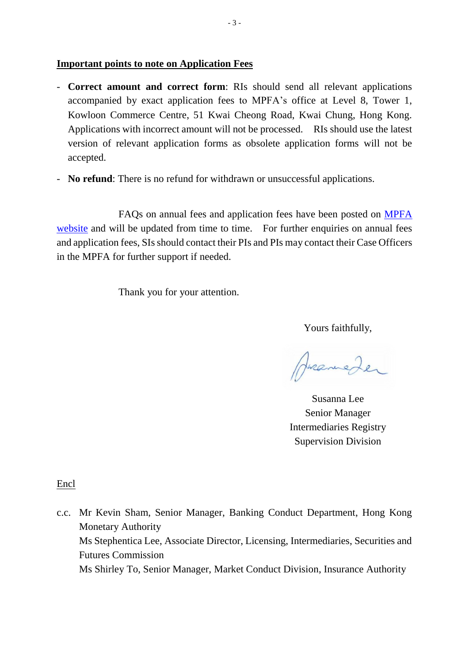### **Important points to note on Application Fees**

- **Correct amount and correct form**: RIs should send all relevant applications accompanied by exact application fees to MPFA's office at Level 8, Tower 1, Kowloon Commerce Centre, 51 Kwai Cheong Road, Kwai Chung, Hong Kong. Applications with incorrect amount will not be processed. RIs should use the latest version of relevant application forms as obsolete application forms will not be accepted.
- **No refund**: There is no refund for withdrawn or unsuccessful applications.

FAQs on annual fees and application fees have been posted on [MPFA](http://www.mpfa.org.hk/eng/information_centre/faq/industry_practitioner/intermediary/mpf_intermediaries_fee/index.jsp)  [website](http://www.mpfa.org.hk/eng/information_centre/faq/industry_practitioner/intermediary/mpf_intermediaries_fee/index.jsp) and will be updated from time to time. For further enquiries on annual fees and application fees, SIs should contact their PIs and PIs may contact their Case Officers in the MPFA for further support if needed.

Thank you for your attention.

Yours faithfully,

Pranieder

Susanna Lee Senior Manager Intermediaries Registry Supervision Division

Encl

c.c. Mr Kevin Sham, Senior Manager, Banking Conduct Department, Hong Kong Monetary Authority Ms Stephentica Lee, Associate Director, Licensing, Intermediaries, Securities and Futures Commission Ms Shirley To, Senior Manager, Market Conduct Division, Insurance Authority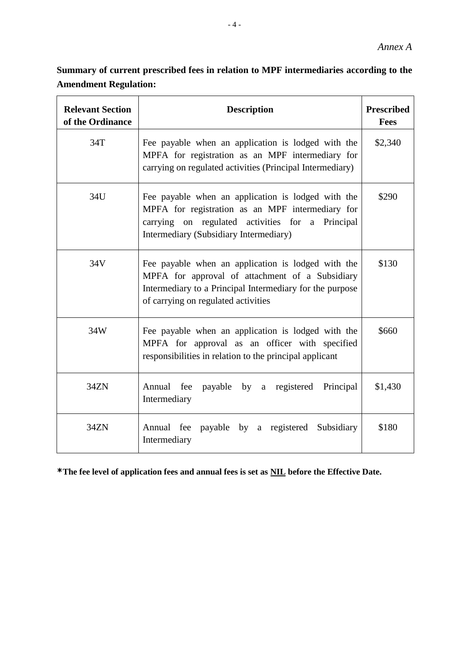**Summary of current prescribed fees in relation to MPF intermediaries according to the Amendment Regulation:**

| <b>Relevant Section</b><br>of the Ordinance | <b>Description</b>                                                                                                                                                                                       | <b>Prescribed</b><br>Fees |
|---------------------------------------------|----------------------------------------------------------------------------------------------------------------------------------------------------------------------------------------------------------|---------------------------|
| 34T                                         | Fee payable when an application is lodged with the<br>MPFA for registration as an MPF intermediary for<br>carrying on regulated activities (Principal Intermediary)                                      | \$2,340                   |
| 34U                                         | Fee payable when an application is lodged with the<br>MPFA for registration as an MPF intermediary for<br>carrying on regulated activities for a Principal<br>Intermediary (Subsidiary Intermediary)     | \$290                     |
| 34V                                         | Fee payable when an application is lodged with the<br>MPFA for approval of attachment of a Subsidiary<br>Intermediary to a Principal Intermediary for the purpose<br>of carrying on regulated activities | \$130                     |
| 34W                                         | Fee payable when an application is lodged with the<br>MPFA for approval as an officer with specified<br>responsibilities in relation to the principal applicant                                          | \$660                     |
| 34ZN                                        | Annual fee<br>payable by a registered<br>Principal<br>Intermediary                                                                                                                                       | \$1,430                   |
| 34ZN                                        | Annual fee<br>payable by a registered<br>Subsidiary<br>Intermediary                                                                                                                                      | \$180                     |

**\*The fee level of application fees and annual fees is set as NIL before the Effective Date.**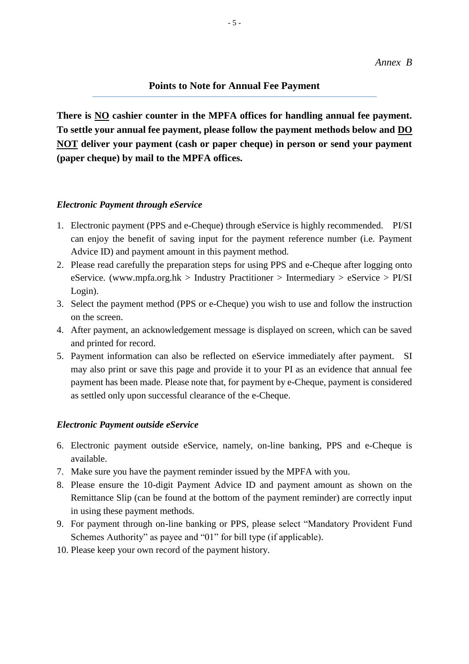## **Points to Note for Annual Fee Payment**

**There is NO cashier counter in the MPFA offices for handling annual fee payment. To settle your annual fee payment, please follow the payment methods below and DO NOT deliver your payment (cash or paper cheque) in person or send your payment (paper cheque) by mail to the MPFA offices.**

#### *Electronic Payment through eService*

- 1. Electronic payment (PPS and e-Cheque) through eService is highly recommended. PI/SI can enjoy the benefit of saving input for the payment reference number (i.e. Payment Advice ID) and payment amount in this payment method.
- 2. Please read carefully the preparation steps for using PPS and e-Cheque after logging onto eService. [\(www.mpfa.org.hk](http://www.mpfa.org.hk/) > Industry Practitioner > Intermediary > eService > PI/SI Login).
- 3. Select the payment method (PPS or e-Cheque) you wish to use and follow the instruction on the screen.
- 4. After payment, an acknowledgement message is displayed on screen, which can be saved and printed for record.
- 5. Payment information can also be reflected on eService immediately after payment. SI may also print or save this page and provide it to your PI as an evidence that annual fee payment has been made. Please note that, for payment by e-Cheque, payment is considered as settled only upon successful clearance of the e-Cheque.

#### *Electronic Payment outside eService*

- 6. Electronic payment outside eService, namely, on-line banking, PPS and e-Cheque is available.
- 7. Make sure you have the payment reminder issued by the MPFA with you.
- 8. Please ensure the 10-digit Payment Advice ID and payment amount as shown on the Remittance Slip (can be found at the bottom of the payment reminder) are correctly input in using these payment methods.
- 9. For payment through on-line banking or PPS, please select "Mandatory Provident Fund Schemes Authority" as payee and "01" for bill type (if applicable).
- 10. Please keep your own record of the payment history.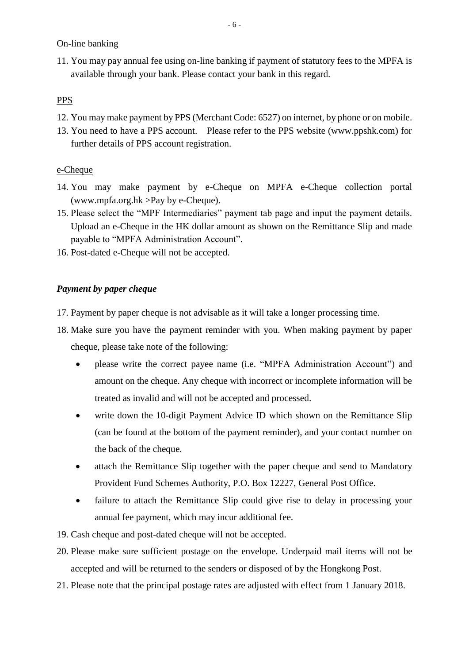On-line banking

11. You may pay annual fee using on-line banking if payment of statutory fees to the MPFA is available through your bank. Please contact your bank in this regard.

## **PPS**

- 12. You may make payment by PPS (Merchant Code: 6527) on internet, by phone or on mobile.
- 13. You need to have a PPS account. Please refer to the PPS website (www.ppshk.com) for further details of PPS account registration.

## e-Cheque

- 14. You may make payment by e-Cheque on MPFA e-Cheque collection portal [\(www.mpfa.org.hk](http://www.mpfa.org.hk/) >Pay by e-Cheque).
- 15. Please select the "MPF Intermediaries" payment tab page and input the payment details. Upload an e-Cheque in the HK dollar amount as shown on the Remittance Slip and made payable to "MPFA Administration Account".
- 16. Post-dated e-Cheque will not be accepted.

## *Payment by paper cheque*

- 17. Payment by paper cheque is not advisable as it will take a longer processing time.
- 18. Make sure you have the payment reminder with you. When making payment by paper cheque, please take note of the following:
	- please write the correct payee name (i.e. "MPFA Administration Account") and amount on the cheque. Any cheque with incorrect or incomplete information will be treated as invalid and will not be accepted and processed.
	- write down the 10-digit Payment Advice ID which shown on the Remittance Slip (can be found at the bottom of the payment reminder), and your contact number on the back of the cheque.
	- attach the Remittance Slip together with the paper cheque and send to Mandatory Provident Fund Schemes Authority, P.O. Box 12227, General Post Office.
	- failure to attach the Remittance Slip could give rise to delay in processing your annual fee payment, which may incur additional fee.
- 19. Cash cheque and post-dated cheque will not be accepted.
- 20. Please make sure sufficient postage on the envelope. Underpaid mail items will not be accepted and will be returned to the senders or disposed of by the Hongkong Post.
- 21. Please note that the principal postage rates are adjusted with effect from 1 January 2018.